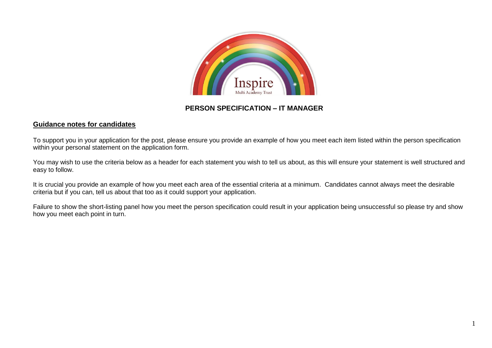

## **PERSON SPECIFICATION – IT MANAGER**

## **Guidance notes for candidates**

To support you in your application for the post, please ensure you provide an example of how you meet each item listed within the person specification within your personal statement on the application form.

You may wish to use the criteria below as a header for each statement you wish to tell us about, as this will ensure your statement is well structured and easy to follow.

It is crucial you provide an example of how you meet each area of the essential criteria at a minimum. Candidates cannot always meet the desirable criteria but if you can, tell us about that too as it could support your application.

Failure to show the short-listing panel how you meet the person specification could result in your application being unsuccessful so please try and show how you meet each point in turn.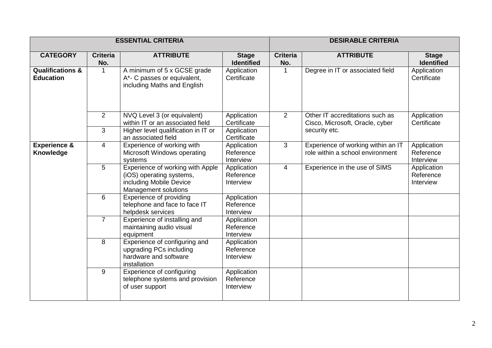| <b>ESSENTIAL CRITERIA</b>                       |                        |                                                                                                                 |                                           | <b>DESIRABLE CRITERIA</b> |                                                                                     |                                       |
|-------------------------------------------------|------------------------|-----------------------------------------------------------------------------------------------------------------|-------------------------------------------|---------------------------|-------------------------------------------------------------------------------------|---------------------------------------|
| <b>CATEGORY</b>                                 | <b>Criteria</b><br>No. | <b>ATTRIBUTE</b>                                                                                                | <b>Stage</b><br><b>Identified</b>         | <b>Criteria</b><br>No.    | <b>ATTRIBUTE</b>                                                                    | <b>Stage</b><br><b>Identified</b>     |
| <b>Qualifications &amp;</b><br><b>Education</b> |                        | A minimum of 5 x GCSE grade<br>A*- C passes or equivalent,<br>including Maths and English                       | Application<br>Certificate                |                           | Degree in IT or associated field                                                    | Application<br>Certificate            |
|                                                 | 2<br>3                 | NVQ Level 3 (or equivalent)<br>within IT or an associated field<br>Higher level qualification in IT or          | Application<br>Certificate<br>Application | 2                         | Other IT accreditations such as<br>Cisco, Microsoft, Oracle, cyber<br>security etc. | Application<br>Certificate            |
|                                                 |                        | an associated field                                                                                             | Certificate                               |                           |                                                                                     |                                       |
| <b>Experience &amp;</b><br>Knowledge            | 4                      | Experience of working with<br>Microsoft Windows operating<br>systems                                            | Application<br>Reference<br>Interview     | 3                         | Experience of working within an IT<br>role within a school environment              | Application<br>Reference<br>Interview |
|                                                 | 5                      | Experience of working with Apple<br>(iOS) operating systems,<br>including Mobile Device<br>Management solutions | Application<br>Reference<br>Interview     | 4                         | Experience in the use of SIMS                                                       | Application<br>Reference<br>Interview |
|                                                 | 6                      | Experience of providing<br>telephone and face to face IT<br>helpdesk services                                   | Application<br>Reference<br>Interview     |                           |                                                                                     |                                       |
|                                                 | $\overline{7}$         | Experience of installing and<br>maintaining audio visual<br>equipment                                           | Application<br>Reference<br>Interview     |                           |                                                                                     |                                       |
|                                                 | 8                      | Experience of configuring and<br>upgrading PCs including<br>hardware and software<br>installation               | Application<br>Reference<br>Interview     |                           |                                                                                     |                                       |
|                                                 | 9                      | Experience of configuring<br>telephone systems and provision<br>of user support                                 | Application<br>Reference<br>Interview     |                           |                                                                                     |                                       |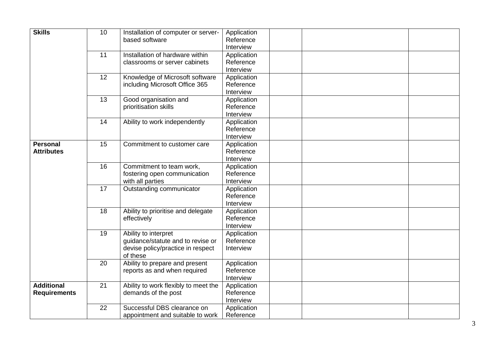| <b>Skills</b>                            | 10 | Installation of computer or server-<br>based software                                                      | Application<br>Reference<br>Interview |  |
|------------------------------------------|----|------------------------------------------------------------------------------------------------------------|---------------------------------------|--|
|                                          | 11 | Installation of hardware within<br>classrooms or server cabinets                                           | Application<br>Reference<br>Interview |  |
|                                          | 12 | Knowledge of Microsoft software<br>including Microsoft Office 365                                          | Application<br>Reference<br>Interview |  |
|                                          | 13 | Good organisation and<br>prioritisation skills                                                             | Application<br>Reference<br>Interview |  |
|                                          | 14 | Ability to work independently                                                                              | Application<br>Reference<br>Interview |  |
| Personal<br><b>Attributes</b>            | 15 | Commitment to customer care                                                                                | Application<br>Reference<br>Interview |  |
|                                          | 16 | Commitment to team work,<br>fostering open communication<br>with all parties                               | Application<br>Reference<br>Interview |  |
|                                          | 17 | Outstanding communicator                                                                                   | Application<br>Reference<br>Interview |  |
|                                          | 18 | Ability to prioritise and delegate<br>effectively                                                          | Application<br>Reference<br>Interview |  |
|                                          | 19 | Ability to interpret<br>guidance/statute and to revise or<br>devise policy/practice in respect<br>of these | Application<br>Reference<br>Interview |  |
|                                          | 20 | Ability to prepare and present<br>reports as and when required                                             | Application<br>Reference<br>Interview |  |
| <b>Additional</b><br><b>Requirements</b> | 21 | Ability to work flexibly to meet the<br>demands of the post                                                | Application<br>Reference<br>Interview |  |
|                                          | 22 | Successful DBS clearance on<br>appointment and suitable to work                                            | Application<br>Reference              |  |